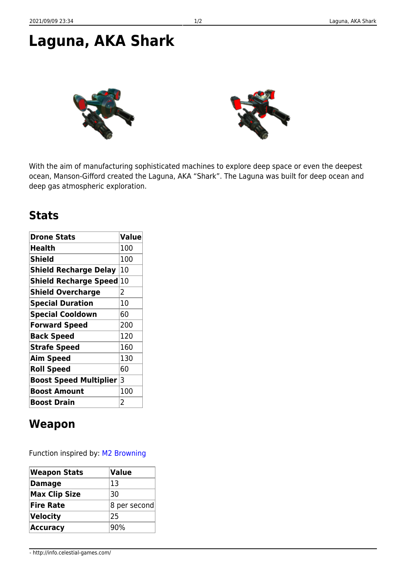## **Laguna, AKA Shark**



With the aim of manufacturing sophisticated machines to explore deep space or even the deepest ocean, Manson-Gifford created the Laguna, AKA "Shark". The Laguna was built for deep ocean and deep gas atmospheric exploration.

## **Stats**

| <b>Drone Stats</b>              | <b>Value</b> |
|---------------------------------|--------------|
| <b>Health</b>                   | 100          |
| <b>Shield</b>                   | 100          |
| <b>Shield Recharge Delay</b>    | 10           |
| <b>Shield Recharge Speed</b>    | 10           |
| <b>Shield Overcharge</b>        | 2            |
| <b>Special Duration</b>         | 10           |
| <b>Special Cooldown</b>         | 60           |
| <b>Forward Speed</b>            | 200          |
| <b>Back Speed</b>               | 120          |
| <b>Strafe Speed</b>             | 160          |
| <b>Aim Speed</b>                | 130          |
| <b>Roll Speed</b>               | 60           |
| <b>Boost Speed Multiplier 3</b> |              |
| <b>Boost Amount</b>             | 100          |
| <b>Boost Drain</b>              | 2            |

## **Weapon**

Function inspired by: [M2 Browning](https://en.wikipedia.org/wiki/M2_Browning)

| Weapon Stats         | <b>Value</b> |
|----------------------|--------------|
| <b>Damage</b>        | 13           |
| <b>Max Clip Size</b> | 30           |
| <b>Fire Rate</b>     | 8 per second |
| Velocity             | 125          |
| <b>Accuracy</b>      | 90%          |